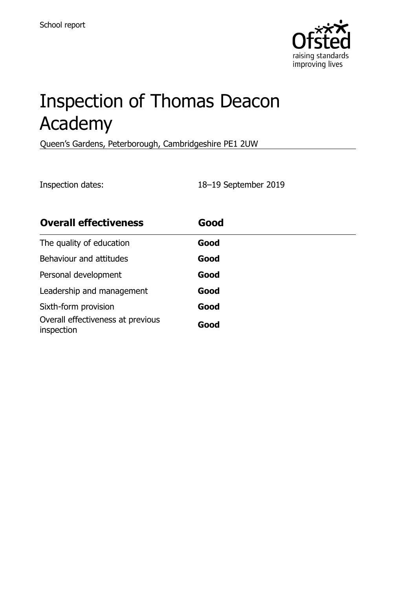

# Inspection of Thomas Deacon Academy

Queen's Gardens, Peterborough, Cambridgeshire PE1 2UW

Inspection dates: 18–19 September 2019

| <b>Overall effectiveness</b>                    | Good |  |
|-------------------------------------------------|------|--|
| The quality of education                        | Good |  |
| Behaviour and attitudes                         | Good |  |
| Personal development                            | Good |  |
| Leadership and management                       | Good |  |
| Sixth-form provision                            | Good |  |
| Overall effectiveness at previous<br>inspection | Good |  |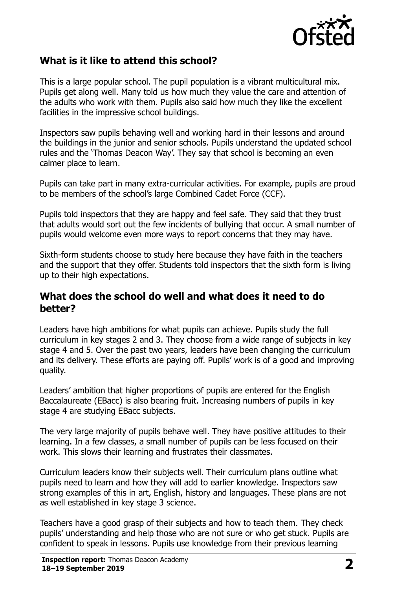

# **What is it like to attend this school?**

This is a large popular school. The pupil population is a vibrant multicultural mix. Pupils get along well. Many told us how much they value the care and attention of the adults who work with them. Pupils also said how much they like the excellent facilities in the impressive school buildings.

Inspectors saw pupils behaving well and working hard in their lessons and around the buildings in the junior and senior schools. Pupils understand the updated school rules and the 'Thomas Deacon Way'. They say that school is becoming an even calmer place to learn.

Pupils can take part in many extra-curricular activities. For example, pupils are proud to be members of the school's large Combined Cadet Force (CCF).

Pupils told inspectors that they are happy and feel safe. They said that they trust that adults would sort out the few incidents of bullying that occur. A small number of pupils would welcome even more ways to report concerns that they may have.

Sixth-form students choose to study here because they have faith in the teachers and the support that they offer. Students told inspectors that the sixth form is living up to their high expectations.

#### **What does the school do well and what does it need to do better?**

Leaders have high ambitions for what pupils can achieve. Pupils study the full curriculum in key stages 2 and 3. They choose from a wide range of subjects in key stage 4 and 5. Over the past two years, leaders have been changing the curriculum and its delivery. These efforts are paying off. Pupils' work is of a good and improving quality.

Leaders' ambition that higher proportions of pupils are entered for the English Baccalaureate (EBacc) is also bearing fruit. Increasing numbers of pupils in key stage 4 are studying EBacc subjects.

The very large majority of pupils behave well. They have positive attitudes to their learning. In a few classes, a small number of pupils can be less focused on their work. This slows their learning and frustrates their classmates.

Curriculum leaders know their subjects well. Their curriculum plans outline what pupils need to learn and how they will add to earlier knowledge. Inspectors saw strong examples of this in art, English, history and languages. These plans are not as well established in key stage 3 science.

Teachers have a good grasp of their subjects and how to teach them. They check pupils' understanding and help those who are not sure or who get stuck. Pupils are confident to speak in lessons. Pupils use knowledge from their previous learning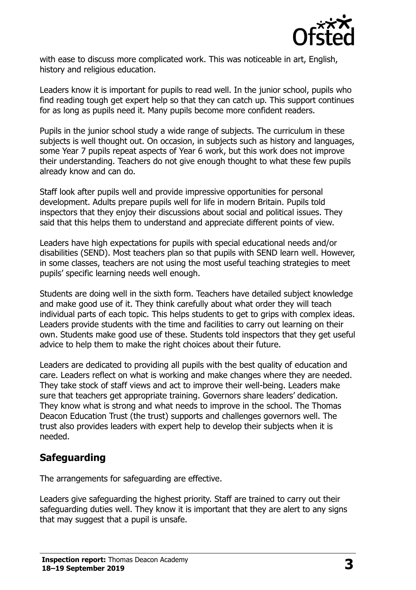

with ease to discuss more complicated work. This was noticeable in art, English, history and religious education.

Leaders know it is important for pupils to read well. In the junior school, pupils who find reading tough get expert help so that they can catch up. This support continues for as long as pupils need it. Many pupils become more confident readers.

Pupils in the junior school study a wide range of subjects. The curriculum in these subjects is well thought out. On occasion, in subjects such as history and languages, some Year 7 pupils repeat aspects of Year 6 work, but this work does not improve their understanding. Teachers do not give enough thought to what these few pupils already know and can do.

Staff look after pupils well and provide impressive opportunities for personal development. Adults prepare pupils well for life in modern Britain. Pupils told inspectors that they enjoy their discussions about social and political issues. They said that this helps them to understand and appreciate different points of view.

Leaders have high expectations for pupils with special educational needs and/or disabilities (SEND). Most teachers plan so that pupils with SEND learn well. However, in some classes, teachers are not using the most useful teaching strategies to meet pupils' specific learning needs well enough.

Students are doing well in the sixth form. Teachers have detailed subject knowledge and make good use of it. They think carefully about what order they will teach individual parts of each topic. This helps students to get to grips with complex ideas. Leaders provide students with the time and facilities to carry out learning on their own. Students make good use of these. Students told inspectors that they get useful advice to help them to make the right choices about their future.

Leaders are dedicated to providing all pupils with the best quality of education and care. Leaders reflect on what is working and make changes where they are needed. They take stock of staff views and act to improve their well-being. Leaders make sure that teachers get appropriate training. Governors share leaders' dedication. They know what is strong and what needs to improve in the school. The Thomas Deacon Education Trust (the trust) supports and challenges governors well. The trust also provides leaders with expert help to develop their subjects when it is needed.

#### **Safeguarding**

The arrangements for safeguarding are effective.

Leaders give safeguarding the highest priority. Staff are trained to carry out their safeguarding duties well. They know it is important that they are alert to any signs that may suggest that a pupil is unsafe.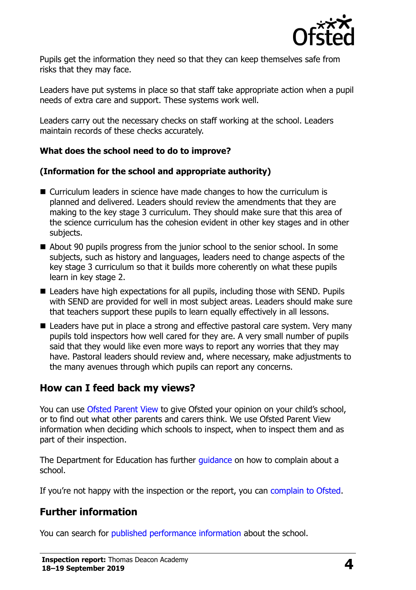

Pupils get the information they need so that they can keep themselves safe from risks that they may face.

Leaders have put systems in place so that staff take appropriate action when a pupil needs of extra care and support. These systems work well.

Leaders carry out the necessary checks on staff working at the school. Leaders maintain records of these checks accurately.

#### **What does the school need to do to improve?**

#### **(Information for the school and appropriate authority)**

- Curriculum leaders in science have made changes to how the curriculum is planned and delivered. Leaders should review the amendments that they are making to the key stage 3 curriculum. They should make sure that this area of the science curriculum has the cohesion evident in other key stages and in other subjects.
- About 90 pupils progress from the junior school to the senior school. In some subjects, such as history and languages, leaders need to change aspects of the key stage 3 curriculum so that it builds more coherently on what these pupils learn in key stage 2.
- Leaders have high expectations for all pupils, including those with SEND. Pupils with SEND are provided for well in most subject areas. Leaders should make sure that teachers support these pupils to learn equally effectively in all lessons.
- Leaders have put in place a strong and effective pastoral care system. Very many pupils told inspectors how well cared for they are. A very small number of pupils said that they would like even more ways to report any worries that they may have. Pastoral leaders should review and, where necessary, make adjustments to the many avenues through which pupils can report any concerns.

#### **How can I feed back my views?**

You can use [Ofsted Parent View](http://parentview.ofsted.gov.uk/) to give Ofsted your opinion on your child's school, or to find out what other parents and carers think. We use Ofsted Parent View information when deciding which schools to inspect, when to inspect them and as part of their inspection.

The Department for Education has further quidance on how to complain about a school.

If you're not happy with the inspection or the report, you can [complain to Ofsted.](http://www.gov.uk/complain-ofsted-report)

# **Further information**

You can search for [published performance information](http://www.compare-school-performance.service.gov.uk/) about the school.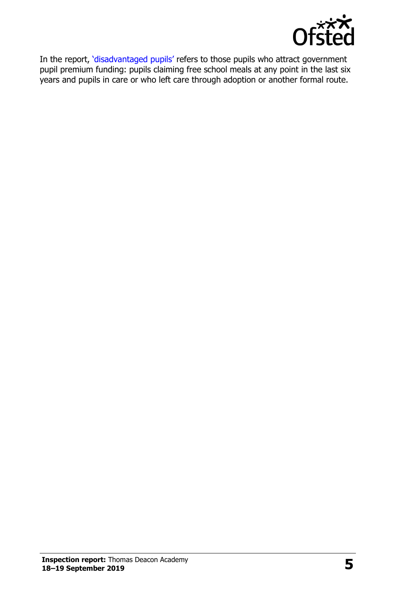

In the report, '[disadvantaged pupils](http://www.gov.uk/guidance/pupil-premium-information-for-schools-and-alternative-provision-settings)' refers to those pupils who attract government pupil premium funding: pupils claiming free school meals at any point in the last six years and pupils in care or who left care through adoption or another formal route.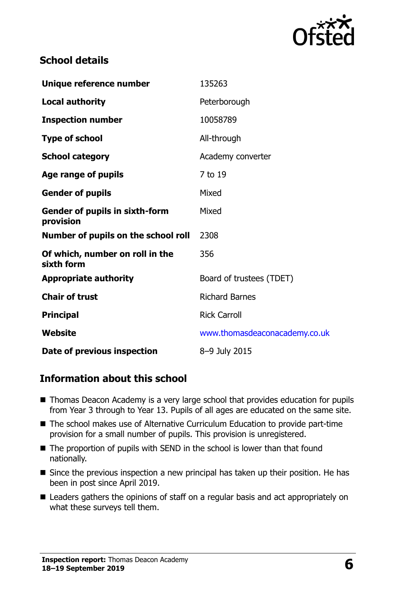

### **School details**

| Unique reference number                            | 135263                        |
|----------------------------------------------------|-------------------------------|
| <b>Local authority</b>                             | Peterborough                  |
| <b>Inspection number</b>                           | 10058789                      |
| <b>Type of school</b>                              | All-through                   |
| <b>School category</b>                             | Academy converter             |
| Age range of pupils                                | 7 to 19                       |
| <b>Gender of pupils</b>                            | Mixed                         |
| <b>Gender of pupils in sixth-form</b><br>provision | Mixed                         |
| Number of pupils on the school roll                | 2308                          |
| Of which, number on roll in the<br>sixth form      | 356                           |
| <b>Appropriate authority</b>                       | Board of trustees (TDET)      |
| <b>Chair of trust</b>                              | <b>Richard Barnes</b>         |
| <b>Principal</b>                                   | <b>Rick Carroll</b>           |
| Website                                            | www.thomasdeaconacademy.co.uk |
| Date of previous inspection                        | 8-9 July 2015                 |

#### **Information about this school**

- Thomas Deacon Academy is a very large school that provides education for pupils from Year 3 through to Year 13. Pupils of all ages are educated on the same site.
- The school makes use of Alternative Curriculum Education to provide part-time provision for a small number of pupils. This provision is unregistered.
- The proportion of pupils with SEND in the school is lower than that found nationally.
- Since the previous inspection a new principal has taken up their position. He has been in post since April 2019.
- Leaders gathers the opinions of staff on a regular basis and act appropriately on what these surveys tell them.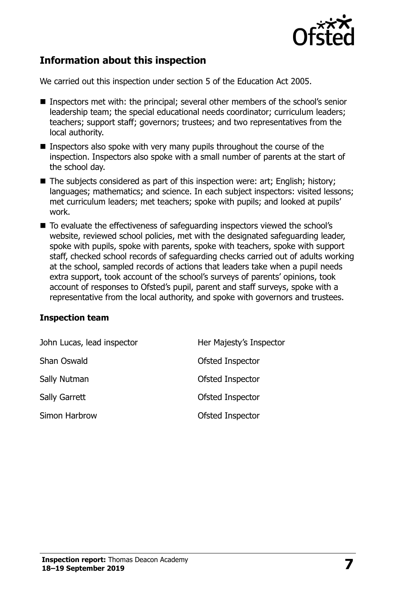

## **Information about this inspection**

We carried out this inspection under section 5 of the Education Act 2005.

- Inspectors met with: the principal; several other members of the school's senior leadership team; the special educational needs coordinator; curriculum leaders; teachers; support staff; governors; trustees; and two representatives from the local authority.
- Inspectors also spoke with very many pupils throughout the course of the inspection. Inspectors also spoke with a small number of parents at the start of the school day.
- The subjects considered as part of this inspection were: art; English; history; languages; mathematics; and science. In each subject inspectors: visited lessons; met curriculum leaders; met teachers; spoke with pupils; and looked at pupils' work.
- To evaluate the effectiveness of safeguarding inspectors viewed the school's website, reviewed school policies, met with the designated safeguarding leader, spoke with pupils, spoke with parents, spoke with teachers, spoke with support staff, checked school records of safeguarding checks carried out of adults working at the school, sampled records of actions that leaders take when a pupil needs extra support, took account of the school's surveys of parents' opinions, took account of responses to Ofsted's pupil, parent and staff surveys, spoke with a representative from the local authority, and spoke with governors and trustees.

#### **Inspection team**

| John Lucas, lead inspector | Her Majesty's Inspector |
|----------------------------|-------------------------|
| Shan Oswald                | Ofsted Inspector        |
| Sally Nutman               | Ofsted Inspector        |
| Sally Garrett              | Ofsted Inspector        |
| Simon Harbrow              | Ofsted Inspector        |